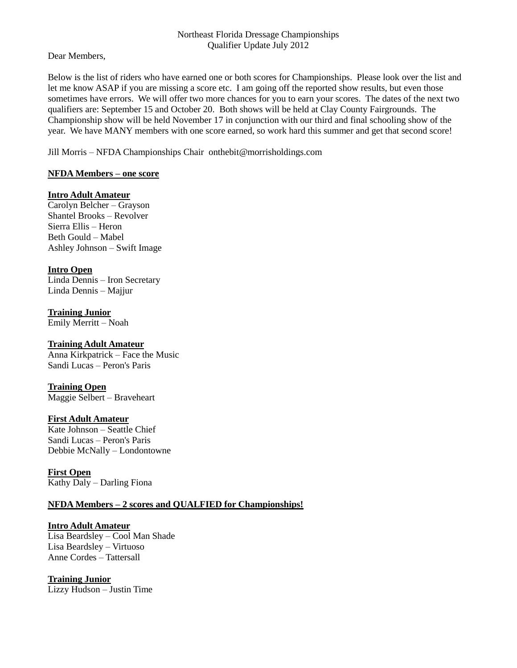#### Northeast Florida Dressage Championships Qualifier Update July 2012

Dear Members,

Below is the list of riders who have earned one or both scores for Championships. Please look over the list and let me know ASAP if you are missing a score etc. I am going off the reported show results, but even those sometimes have errors. We will offer two more chances for you to earn your scores. The dates of the next two qualifiers are: September 15 and October 20. Both shows will be held at Clay County Fairgrounds. The Championship show will be held November 17 in conjunction with our third and final schooling show of the year. We have MANY members with one score earned, so work hard this summer and get that second score!

Jill Morris – NFDA Championships Chair onthebit@morrisholdings.com

## **NFDA Members – one score**

## **Intro Adult Amateur**

Carolyn Belcher – Grayson Shantel Brooks – Revolver Sierra Ellis – Heron Beth Gould – Mabel Ashley Johnson – Swift Image

## **Intro Open**

Linda Dennis – Iron Secretary Linda Dennis – Majjur

**Training Junior** Emily Merritt – Noah

# **Training Adult Amateur**

Anna Kirkpatrick – Face the Music Sandi Lucas – Peron's Paris

### **Training Open**

Maggie Selbert – Braveheart

### **First Adult Amateur**

Kate Johnson – Seattle Chief Sandi Lucas – Peron's Paris Debbie McNally – Londontowne

# **First Open**

Kathy Daly – Darling Fiona

# **NFDA Members – 2 scores and QUALFIED for Championships!**

### **Intro Adult Amateur**

Lisa Beardsley – Cool Man Shade Lisa Beardsley – Virtuoso Anne Cordes – Tattersall

# **Training Junior**

Lizzy Hudson – Justin Time